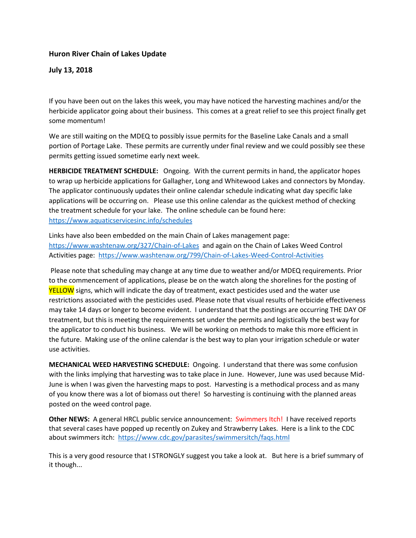## **Huron River Chain of Lakes Update**

## **July 13, 2018**

If you have been out on the lakes this week, you may have noticed the harvesting machines and/or the herbicide applicator going about their business. This comes at a great relief to see this project finally get some momentum!

We are still waiting on the MDEQ to possibly issue permits for the Baseline Lake Canals and a small portion of Portage Lake. These permits are currently under final review and we could possibly see these permits getting issued sometime early next week.

**HERBICIDE TREATMENT SCHEDULE:** Ongoing. With the current permits in hand, the applicator hopes to wrap up herbicide applications for Gallagher, Long and Whitewood Lakes and connectors by Monday. The applicator continuously updates their online calendar schedule indicating what day specific lake applications will be occurring on. Please use this online calendar as the quickest method of checking the treatment schedule for your lake. The online schedule can be found here: <https://www.aquaticservicesinc.info/schedules>

Links have also been embedded on the main Chain of Lakes management page: <https://www.washtenaw.org/327/Chain-of-Lakes>and again on the Chain of Lakes Weed Control Activities page: <https://www.washtenaw.org/799/Chain-of-Lakes-Weed-Control-Activities>

Please note that scheduling may change at any time due to weather and/or MDEQ requirements. Prior to the commencement of applications, please be on the watch along the shorelines for the posting of YELLOW signs, which will indicate the day of treatment, exact pesticides used and the water use restrictions associated with the pesticides used. Please note that visual results of herbicide effectiveness may take 14 days or longer to become evident. I understand that the postings are occurring THE DAY OF treatment, but this is meeting the requirements set under the permits and logistically the best way for the applicator to conduct his business. We will be working on methods to make this more efficient in the future. Making use of the online calendar is the best way to plan your irrigation schedule or water use activities.

**MECHANICAL WEED HARVESTING SCHEDULE:** Ongoing. I understand that there was some confusion with the links implying that harvesting was to take place in June. However, June was used because Mid-June is when I was given the harvesting maps to post. Harvesting is a methodical process and as many of you know there was a lot of biomass out there! So harvesting is continuing with the planned areas posted on the weed control page.

**Other NEWS:** A general HRCL public service announcement: Swimmers Itch! I have received reports that several cases have popped up recently on Zukey and Strawberry Lakes. Here is a link to the CDC about swimmers itch:<https://www.cdc.gov/parasites/swimmersitch/faqs.html>

This is a very good resource that I STRONGLY suggest you take a look at. But here is a brief summary of it though...